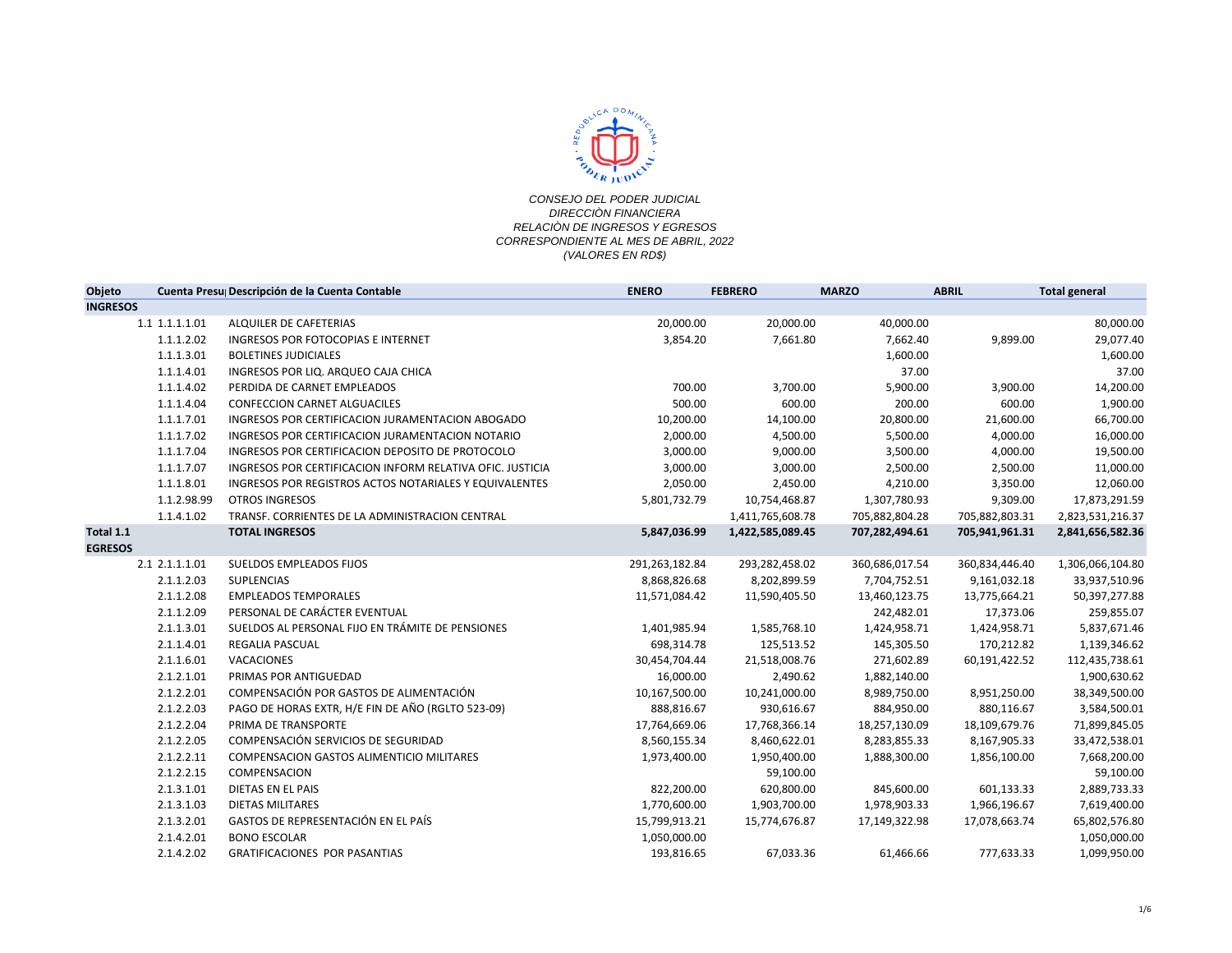

| Objeto                      |                | Cuenta Presu Descripción de la Cuenta Contable            | <b>ENERO</b>   | <b>FEBRERO</b>   | <b>MARZO</b>   | <b>ABRIL</b>   | <b>Total general</b> |
|-----------------------------|----------------|-----------------------------------------------------------|----------------|------------------|----------------|----------------|----------------------|
| <b>INGRESOS</b>             |                |                                                           |                |                  |                |                |                      |
|                             | 1.1 1.1.1.1.01 | ALQUILER DE CAFETERIAS                                    | 20,000.00      | 20,000.00        | 40,000.00      |                | 80,000.00            |
|                             | 1.1.1.2.02     | INGRESOS POR FOTOCOPIAS E INTERNET                        | 3,854.20       | 7,661.80         | 7,662.40       | 9,899.00       | 29,077.40            |
|                             | 1.1.1.3.01     | <b>BOLETINES JUDICIALES</b>                               |                |                  | 1,600.00       |                | 1,600.00             |
|                             | 1.1.1.4.01     | INGRESOS POR LIQ. ARQUEO CAJA CHICA                       |                |                  | 37.00          |                | 37.00                |
|                             | 1.1.1.4.02     | PERDIDA DE CARNET EMPLEADOS                               | 700.00         | 3,700.00         | 5,900.00       | 3,900.00       | 14,200.00            |
|                             | 1.1.1.4.04     | CONFECCION CARNET ALGUACILES                              | 500.00         | 600.00           | 200.00         | 600.00         | 1,900.00             |
|                             | 1.1.1.7.01     | INGRESOS POR CERTIFICACION JURAMENTACION ABOGADO          | 10,200.00      | 14,100.00        | 20,800.00      | 21,600.00      | 66,700.00            |
|                             | 1.1.1.7.02     | INGRESOS POR CERTIFICACION JURAMENTACION NOTARIO          | 2,000.00       | 4,500.00         | 5,500.00       | 4,000.00       | 16,000.00            |
|                             | 1.1.1.7.04     | INGRESOS POR CERTIFICACION DEPOSITO DE PROTOCOLO          | 3,000.00       | 9,000.00         | 3,500.00       | 4,000.00       | 19,500.00            |
|                             | 1.1.1.7.07     | INGRESOS POR CERTIFICACION INFORM RELATIVA OFIC. JUSTICIA | 3,000.00       | 3,000.00         | 2,500.00       | 2,500.00       | 11,000.00            |
|                             | 1.1.1.8.01     | INGRESOS POR REGISTROS ACTOS NOTARIALES Y EQUIVALENTES    | 2,050.00       | 2,450.00         | 4,210.00       | 3,350.00       | 12,060.00            |
|                             | 1.1.2.98.99    | <b>OTROS INGRESOS</b>                                     | 5,801,732.79   | 10,754,468.87    | 1,307,780.93   | 9,309.00       | 17,873,291.59        |
|                             | 1.1.4.1.02     | TRANSF. CORRIENTES DE LA ADMINISTRACION CENTRAL           |                | 1,411,765,608.78 | 705,882,804.28 | 705,882,803.31 | 2,823,531,216.37     |
| Total 1.1<br><b>EGRESOS</b> |                | <b>TOTAL INGRESOS</b>                                     | 5,847,036.99   | 1,422,585,089.45 | 707,282,494.61 | 705,941,961.31 | 2,841,656,582.36     |
|                             | 2.1 2.1.1.1.01 | SUELDOS EMPLEADOS FIJOS                                   | 291,263,182.84 | 293,282,458.02   | 360,686,017.54 | 360,834,446.40 | 1,306,066,104.80     |
|                             | 2.1.1.2.03     | <b>SUPLENCIAS</b>                                         | 8,868,826.68   | 8,202,899.59     | 7,704,752.51   | 9,161,032.18   | 33,937,510.96        |
|                             | 2.1.1.2.08     | <b>EMPLEADOS TEMPORALES</b>                               | 11,571,084.42  | 11,590,405.50    | 13,460,123.75  | 13,775,664.21  | 50,397,277.88        |
|                             | 2.1.1.2.09     | PERSONAL DE CARÁCTER EVENTUAL                             |                |                  | 242,482.01     | 17,373.06      | 259,855.07           |
|                             | 2.1.1.3.01     | SUELDOS AL PERSONAL FIJO EN TRÁMITE DE PENSIONES          | 1,401,985.94   | 1,585,768.10     | 1,424,958.71   | 1,424,958.71   | 5,837,671.46         |
|                             | 2.1.1.4.01     | <b>REGALIA PASCUAL</b>                                    | 698,314.78     | 125,513.52       | 145,305.50     | 170,212.82     | 1,139,346.62         |
|                             | 2.1.1.6.01     | VACACIONES                                                | 30,454,704.44  | 21,518,008.76    | 271,602.89     | 60,191,422.52  | 112,435,738.61       |
|                             | 2.1.2.1.01     | PRIMAS POR ANTIGUEDAD                                     | 16,000.00      | 2,490.62         | 1,882,140.00   |                | 1,900,630.62         |
|                             | 2.1.2.2.01     | COMPENSACIÓN POR GASTOS DE ALIMENTACIÓN                   | 10,167,500.00  | 10,241,000.00    | 8,989,750.00   | 8,951,250.00   | 38,349,500.00        |
|                             | 2.1.2.2.03     | PAGO DE HORAS EXTR, H/E FIN DE AÑO (RGLTO 523-09)         | 888,816.67     | 930,616.67       | 884,950.00     | 880,116.67     | 3,584,500.01         |
|                             | 2.1.2.2.04     | PRIMA DE TRANSPORTE                                       | 17,764,669.06  | 17,768,366.14    | 18,257,130.09  | 18,109,679.76  | 71,899,845.05        |
|                             | 2.1.2.2.05     | COMPENSACIÓN SERVICIOS DE SEGURIDAD                       | 8,560,155.34   | 8,460,622.01     | 8,283,855.33   | 8,167,905.33   | 33,472,538.01        |
|                             | 2.1.2.2.11     | <b>COMPENSACION GASTOS ALIMENTICIO MILITARES</b>          | 1,973,400.00   | 1,950,400.00     | 1,888,300.00   | 1,856,100.00   | 7,668,200.00         |
|                             | 2.1.2.2.15     | COMPENSACION                                              |                | 59,100.00        |                |                | 59,100.00            |
|                             | 2.1.3.1.01     | DIETAS EN EL PAIS                                         | 822,200.00     | 620,800.00       | 845,600.00     | 601,133.33     | 2,889,733.33         |
|                             | 2.1.3.1.03     | <b>DIETAS MILITARES</b>                                   | 1,770,600.00   | 1,903,700.00     | 1,978,903.33   | 1,966,196.67   | 7,619,400.00         |
|                             | 2.1.3.2.01     | GASTOS DE REPRESENTACIÓN EN EL PAÍS                       | 15,799,913.21  | 15,774,676.87    | 17,149,322.98  | 17,078,663.74  | 65,802,576.80        |
|                             | 2.1.4.2.01     | <b>BONO ESCOLAR</b>                                       | 1,050,000.00   |                  |                |                | 1,050,000.00         |
|                             | 2.1.4.2.02     | <b>GRATIFICACIONES POR PASANTIAS</b>                      | 193,816.65     | 67,033.36        | 61,466.66      | 777,633.33     | 1,099,950.00         |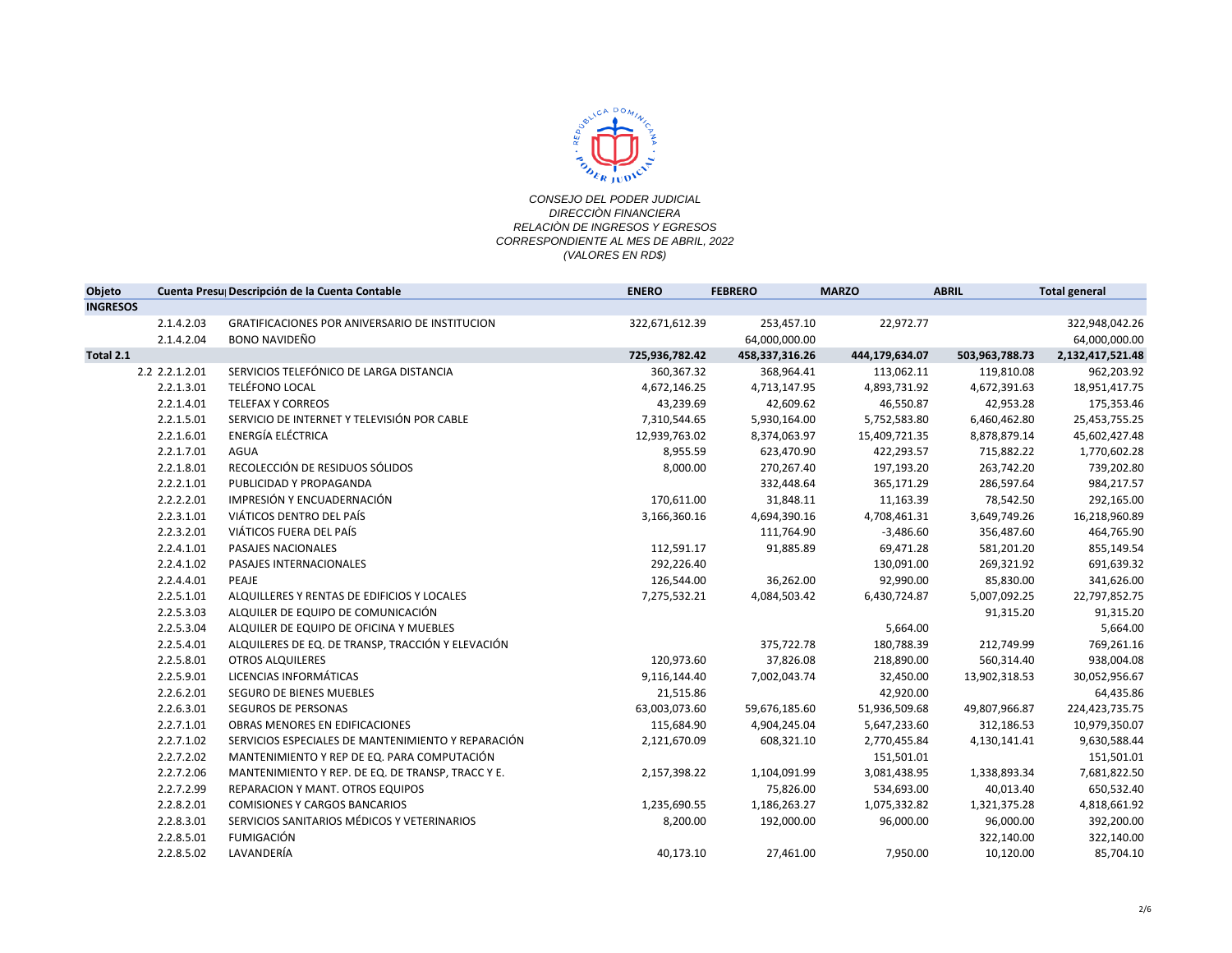

| Objeto          |                | Cuenta Presu Descripción de la Cuenta Contable     | <b>ENERO</b>   | <b>FEBRERO</b> | <b>MARZO</b>   | <b>ABRIL</b>   | <b>Total general</b> |
|-----------------|----------------|----------------------------------------------------|----------------|----------------|----------------|----------------|----------------------|
| <b>INGRESOS</b> |                |                                                    |                |                |                |                |                      |
|                 | 2.1.4.2.03     | GRATIFICACIONES POR ANIVERSARIO DE INSTITUCION     | 322,671,612.39 | 253,457.10     | 22,972.77      |                | 322,948,042.26       |
|                 | 2.1.4.2.04     | <b>BONO NAVIDEÑO</b>                               |                | 64,000,000.00  |                |                | 64,000,000.00        |
| Total 2.1       |                |                                                    | 725,936,782.42 | 458,337,316.26 | 444,179,634.07 | 503,963,788.73 | 2,132,417,521.48     |
|                 | 2.2 2.2.1.2.01 | SERVICIOS TELEFÓNICO DE LARGA DISTANCIA            | 360, 367. 32   | 368,964.41     | 113,062.11     | 119,810.08     | 962,203.92           |
|                 | 2.2.1.3.01     | <b>TELÉFONO LOCAL</b>                              | 4,672,146.25   | 4,713,147.95   | 4,893,731.92   | 4,672,391.63   | 18,951,417.75        |
|                 | 2.2.1.4.01     | <b>TELEFAX Y CORREOS</b>                           | 43,239.69      | 42,609.62      | 46,550.87      | 42,953.28      | 175,353.46           |
|                 | 2.2.1.5.01     | SERVICIO DE INTERNET Y TELEVISIÓN POR CABLE        | 7,310,544.65   | 5,930,164.00   | 5,752,583.80   | 6,460,462.80   | 25,453,755.25        |
|                 | 2.2.1.6.01     | ENERGÍA ELÉCTRICA                                  | 12,939,763.02  | 8,374,063.97   | 15,409,721.35  | 8,878,879.14   | 45,602,427.48        |
|                 | 2.2.1.7.01     | AGUA                                               | 8,955.59       | 623,470.90     | 422,293.57     | 715,882.22     | 1,770,602.28         |
|                 | 2.2.1.8.01     | RECOLECCIÓN DE RESIDUOS SÓLIDOS                    | 8,000.00       | 270,267.40     | 197,193.20     | 263,742.20     | 739,202.80           |
|                 | 2.2.2.1.01     | PUBLICIDAD Y PROPAGANDA                            |                | 332,448.64     | 365,171.29     | 286,597.64     | 984,217.57           |
|                 | 2.2.2.2.01     | IMPRESIÓN Y ENCUADERNACIÓN                         | 170,611.00     | 31,848.11      | 11,163.39      | 78,542.50      | 292,165.00           |
|                 | 2.2.3.1.01     | VIÁTICOS DENTRO DEL PAÍS                           | 3,166,360.16   | 4,694,390.16   | 4,708,461.31   | 3,649,749.26   | 16,218,960.89        |
|                 | 2.2.3.2.01     | VIÁTICOS FUERA DEL PAÍS                            |                | 111,764.90     | $-3,486.60$    | 356,487.60     | 464,765.90           |
|                 | 2.2.4.1.01     | PASAJES NACIONALES                                 | 112,591.17     | 91,885.89      | 69,471.28      | 581,201.20     | 855,149.54           |
|                 | 2.2.4.1.02     | PASAJES INTERNACIONALES                            | 292,226.40     |                | 130,091.00     | 269,321.92     | 691,639.32           |
|                 | 2.2.4.4.01     | PEAJE                                              | 126,544.00     | 36,262.00      | 92,990.00      | 85,830.00      | 341,626.00           |
|                 | 2.2.5.1.01     | ALQUILLERES Y RENTAS DE EDIFICIOS Y LOCALES        | 7,275,532.21   | 4,084,503.42   | 6,430,724.87   | 5,007,092.25   | 22,797,852.75        |
|                 | 2.2.5.3.03     | ALQUILER DE EQUIPO DE COMUNICACIÓN                 |                |                |                | 91,315.20      | 91,315.20            |
|                 | 2.2.5.3.04     | ALQUILER DE EQUIPO DE OFICINA Y MUEBLES            |                |                | 5,664.00       |                | 5,664.00             |
|                 | 2.2.5.4.01     | ALQUILERES DE EQ. DE TRANSP, TRACCIÓN Y ELEVACIÓN  |                | 375,722.78     | 180,788.39     | 212,749.99     | 769,261.16           |
|                 | 2.2.5.8.01     | <b>OTROS ALQUILERES</b>                            | 120,973.60     | 37,826.08      | 218,890.00     | 560,314.40     | 938,004.08           |
|                 | 2.2.5.9.01     | LICENCIAS INFORMÁTICAS                             | 9,116,144.40   | 7,002,043.74   | 32,450.00      | 13,902,318.53  | 30,052,956.67        |
|                 | 2.2.6.2.01     | SEGURO DE BIENES MUEBLES                           | 21,515.86      |                | 42,920.00      |                | 64,435.86            |
|                 | 2.2.6.3.01     | <b>SEGUROS DE PERSONAS</b>                         | 63,003,073.60  | 59,676,185.60  | 51,936,509.68  | 49,807,966.87  | 224,423,735.75       |
|                 | 2.2.7.1.01     | OBRAS MENORES EN EDIFICACIONES                     | 115,684.90     | 4,904,245.04   | 5,647,233.60   | 312,186.53     | 10,979,350.07        |
|                 | 2.2.7.1.02     | SERVICIOS ESPECIALES DE MANTENIMIENTO Y REPARACIÓN | 2,121,670.09   | 608,321.10     | 2,770,455.84   | 4,130,141.41   | 9,630,588.44         |
|                 | 2.2.7.2.02     | MANTENIMIENTO Y REP DE EQ. PARA COMPUTACIÓN        |                |                | 151,501.01     |                | 151,501.01           |
|                 | 2.2.7.2.06     | MANTENIMIENTO Y REP. DE EQ. DE TRANSP, TRACC Y E.  | 2,157,398.22   | 1,104,091.99   | 3,081,438.95   | 1,338,893.34   | 7,681,822.50         |
|                 | 2.2.7.2.99     | <b>REPARACION Y MANT, OTROS EQUIPOS</b>            |                | 75,826.00      | 534,693.00     | 40,013.40      | 650,532.40           |
|                 | 2.2.8.2.01     | <b>COMISIONES Y CARGOS BANCARIOS</b>               | 1,235,690.55   | 1,186,263.27   | 1,075,332.82   | 1,321,375.28   | 4,818,661.92         |
|                 | 2.2.8.3.01     | SERVICIOS SANITARIOS MÉDICOS Y VETERINARIOS        | 8,200.00       | 192,000.00     | 96,000.00      | 96,000.00      | 392,200.00           |
|                 | 2.2.8.5.01     | <b>FUMIGACIÓN</b>                                  |                |                |                | 322,140.00     | 322,140.00           |
|                 | 2.2.8.5.02     | LAVANDERÍA                                         | 40,173.10      | 27,461.00      | 7,950.00       | 10,120.00      | 85,704.10            |
|                 |                |                                                    |                |                |                |                |                      |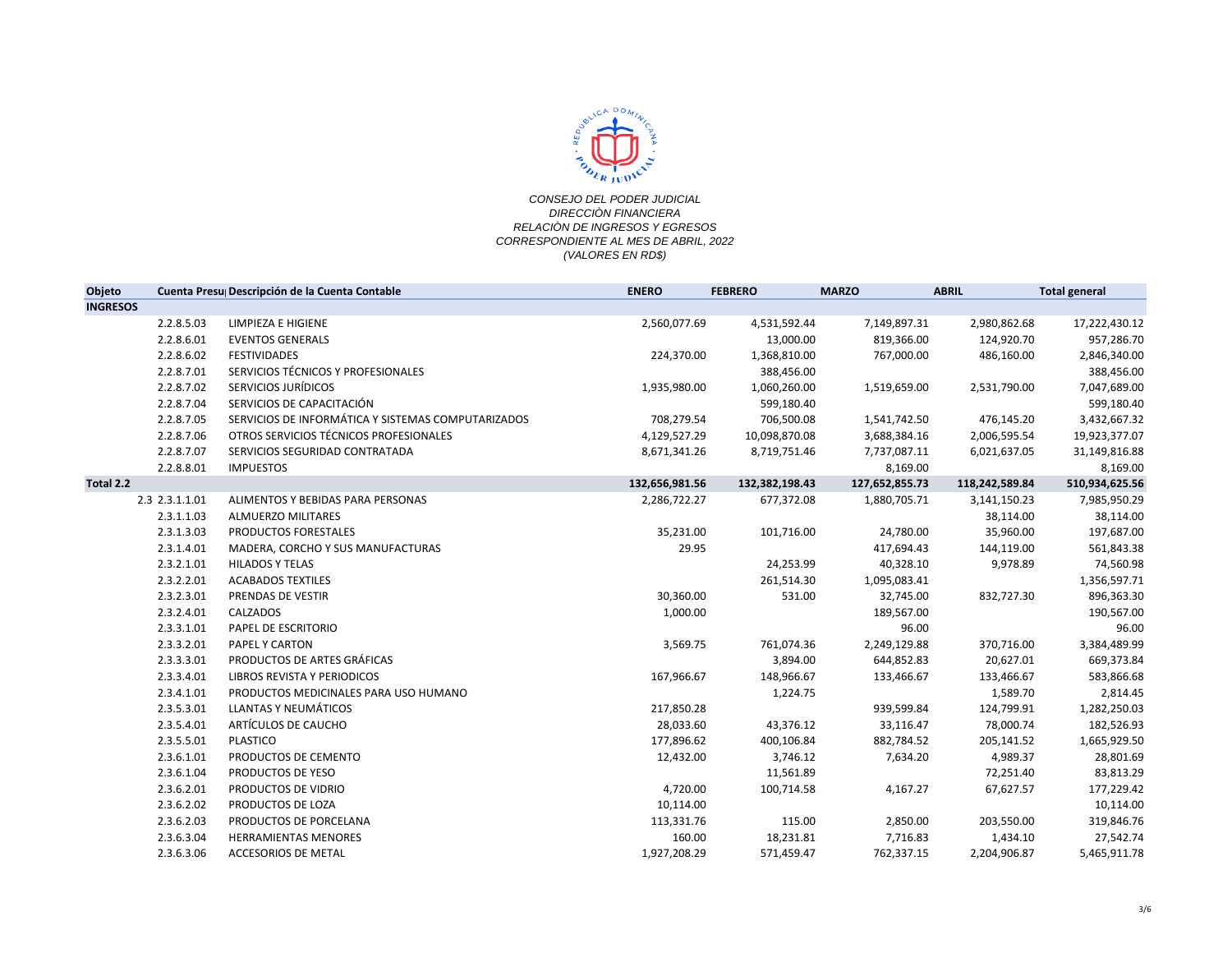

| Objeto          |                | Cuenta Presu Descripción de la Cuenta Contable     | <b>ENERO</b>   | <b>FEBRERO</b> | <b>MARZO</b>   | <b>ABRIL</b>   | <b>Total general</b> |
|-----------------|----------------|----------------------------------------------------|----------------|----------------|----------------|----------------|----------------------|
| <b>INGRESOS</b> |                |                                                    |                |                |                |                |                      |
|                 | 2.2.8.5.03     | LIMPIEZA E HIGIENE                                 | 2,560,077.69   | 4,531,592.44   | 7,149,897.31   | 2,980,862.68   | 17,222,430.12        |
|                 | 2.2.8.6.01     | <b>EVENTOS GENERALS</b>                            |                | 13,000.00      | 819,366.00     | 124,920.70     | 957,286.70           |
|                 | 2.2.8.6.02     | <b>FESTIVIDADES</b>                                | 224,370.00     | 1,368,810.00   | 767,000.00     | 486,160.00     | 2,846,340.00         |
|                 | 2.2.8.7.01     | SERVICIOS TÉCNICOS Y PROFESIONALES                 |                | 388,456.00     |                |                | 388,456.00           |
|                 | 2.2.8.7.02     | SERVICIOS JURÍDICOS                                | 1,935,980.00   | 1,060,260.00   | 1,519,659.00   | 2,531,790.00   | 7,047,689.00         |
|                 | 2.2.8.7.04     | SERVICIOS DE CAPACITACIÓN                          |                | 599,180.40     |                |                | 599,180.40           |
|                 | 2.2.8.7.05     | SERVICIOS DE INFORMÁTICA Y SISTEMAS COMPUTARIZADOS | 708,279.54     | 706,500.08     | 1,541,742.50   | 476,145.20     | 3,432,667.32         |
|                 | 2.2.8.7.06     | OTROS SERVICIOS TÉCNICOS PROFESIONALES             | 4,129,527.29   | 10,098,870.08  | 3,688,384.16   | 2,006,595.54   | 19,923,377.07        |
|                 | 2.2.8.7.07     | SERVICIOS SEGURIDAD CONTRATADA                     | 8,671,341.26   | 8,719,751.46   | 7,737,087.11   | 6,021,637.05   | 31,149,816.88        |
|                 | 2.2.8.8.01     | <b>IMPUESTOS</b>                                   |                |                | 8,169.00       |                | 8,169.00             |
| Total 2.2       |                |                                                    | 132,656,981.56 | 132,382,198.43 | 127,652,855.73 | 118,242,589.84 | 510,934,625.56       |
|                 | 2.3 2.3.1.1.01 | ALIMENTOS Y BEBIDAS PARA PERSONAS                  | 2,286,722.27   | 677,372.08     | 1,880,705.71   | 3,141,150.23   | 7,985,950.29         |
|                 | 2.3.1.1.03     | ALMUERZO MILITARES                                 |                |                |                | 38,114.00      | 38,114.00            |
|                 | 2.3.1.3.03     | PRODUCTOS FORESTALES                               | 35,231.00      | 101,716.00     | 24,780.00      | 35,960.00      | 197,687.00           |
|                 | 2.3.1.4.01     | MADERA, CORCHO Y SUS MANUFACTURAS                  | 29.95          |                | 417,694.43     | 144,119.00     | 561,843.38           |
|                 | 2.3.2.1.01     | <b>HILADOS Y TELAS</b>                             |                | 24,253.99      | 40,328.10      | 9,978.89       | 74,560.98            |
|                 | 2.3.2.2.01     | <b>ACABADOS TEXTILES</b>                           |                | 261,514.30     | 1,095,083.41   |                | 1,356,597.71         |
|                 | 2.3.2.3.01     | PRENDAS DE VESTIR                                  | 30,360.00      | 531.00         | 32,745.00      | 832,727.30     | 896,363.30           |
|                 | 2.3.2.4.01     | CALZADOS                                           | 1,000.00       |                | 189,567.00     |                | 190,567.00           |
|                 | 2.3.3.1.01     | PAPEL DE ESCRITORIO                                |                |                | 96.00          |                | 96.00                |
|                 | 2.3.3.2.01     | PAPEL Y CARTON                                     | 3,569.75       | 761,074.36     | 2,249,129.88   | 370,716.00     | 3,384,489.99         |
|                 | 2.3.3.3.01     | PRODUCTOS DE ARTES GRÁFICAS                        |                | 3,894.00       | 644,852.83     | 20,627.01      | 669,373.84           |
|                 | 2.3.3.4.01     | LIBROS REVISTA Y PERIODICOS                        | 167,966.67     | 148,966.67     | 133,466.67     | 133,466.67     | 583,866.68           |
|                 | 2.3.4.1.01     | PRODUCTOS MEDICINALES PARA USO HUMANO              |                | 1,224.75       |                | 1,589.70       | 2,814.45             |
|                 | 2.3.5.3.01     | LLANTAS Y NEUMÁTICOS                               | 217,850.28     |                | 939,599.84     | 124,799.91     | 1,282,250.03         |
|                 | 2.3.5.4.01     | ARTÍCULOS DE CAUCHO                                | 28,033.60      | 43,376.12      | 33,116.47      | 78,000.74      | 182,526.93           |
|                 | 2.3.5.5.01     | <b>PLASTICO</b>                                    | 177,896.62     | 400,106.84     | 882,784.52     | 205,141.52     | 1,665,929.50         |
|                 | 2.3.6.1.01     | PRODUCTOS DE CEMENTO                               | 12,432.00      | 3,746.12       | 7,634.20       | 4,989.37       | 28,801.69            |
|                 | 2.3.6.1.04     | PRODUCTOS DE YESO                                  |                | 11,561.89      |                | 72,251.40      | 83,813.29            |
|                 | 2.3.6.2.01     | PRODUCTOS DE VIDRIO                                | 4,720.00       | 100,714.58     | 4,167.27       | 67,627.57      | 177,229.42           |
|                 | 2.3.6.2.02     | PRODUCTOS DE LOZA                                  | 10,114.00      |                |                |                | 10,114.00            |
|                 | 2.3.6.2.03     | PRODUCTOS DE PORCELANA                             | 113,331.76     | 115.00         | 2,850.00       | 203,550.00     | 319,846.76           |
|                 | 2.3.6.3.04     | HERRAMIENTAS MENORES                               | 160.00         | 18,231.81      | 7,716.83       | 1,434.10       | 27,542.74            |
|                 | 2.3.6.3.06     | <b>ACCESORIOS DE METAL</b>                         | 1,927,208.29   | 571,459.47     | 762,337.15     | 2,204,906.87   | 5,465,911.78         |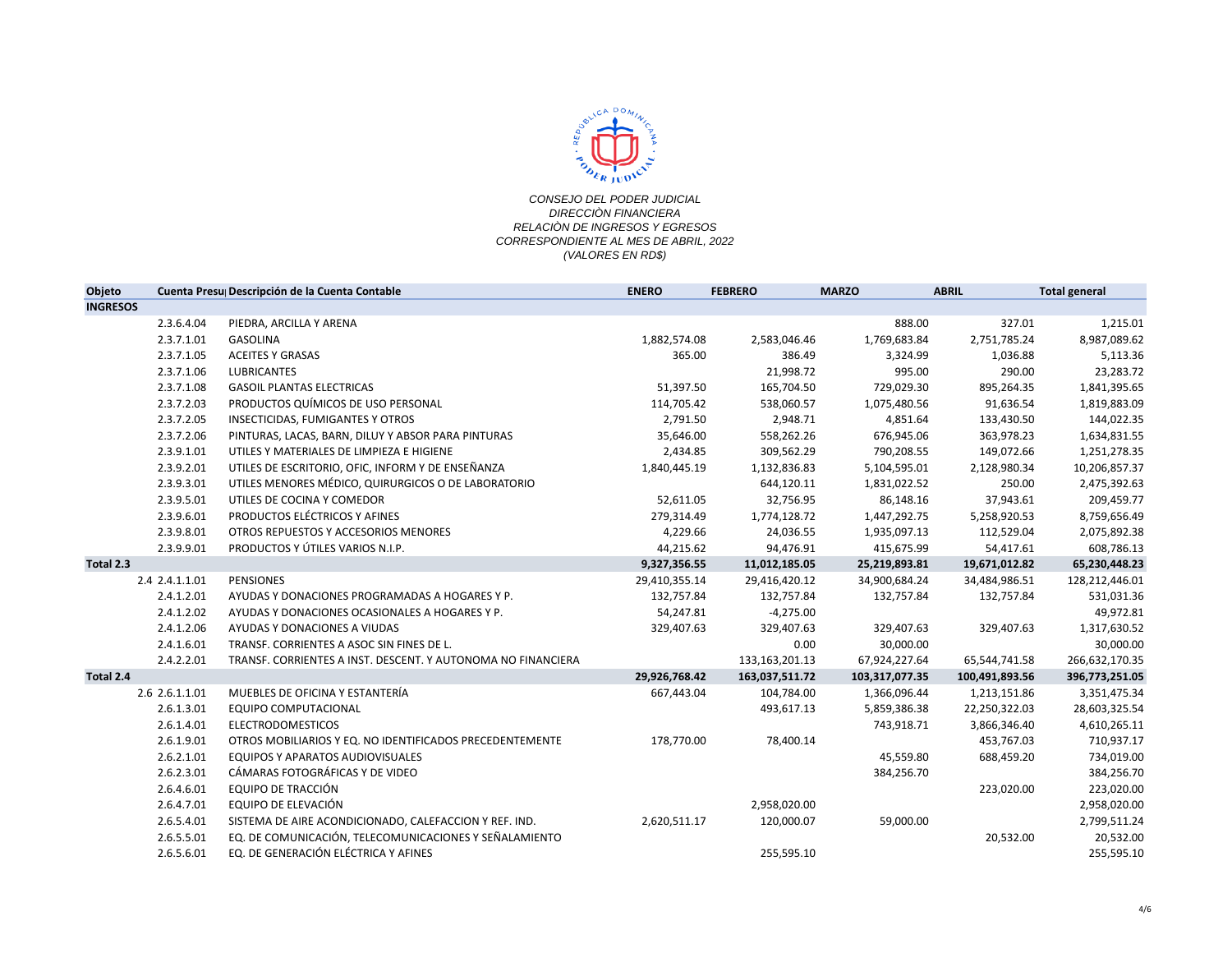

| Objeto          |                | Cuenta Presu Descripción de la Cuenta Contable               | <b>ENERO</b>  | <b>FEBRERO</b> | <b>MARZO</b>   | <b>ABRIL</b>   | <b>Total general</b> |
|-----------------|----------------|--------------------------------------------------------------|---------------|----------------|----------------|----------------|----------------------|
| <b>INGRESOS</b> |                |                                                              |               |                |                |                |                      |
|                 | 2.3.6.4.04     | PIEDRA, ARCILLA Y ARENA                                      |               |                | 888.00         | 327.01         | 1,215.01             |
|                 | 2.3.7.1.01     | <b>GASOLINA</b>                                              | 1,882,574.08  | 2,583,046.46   | 1,769,683.84   | 2,751,785.24   | 8,987,089.62         |
|                 | 2.3.7.1.05     | <b>ACEITES Y GRASAS</b>                                      | 365.00        | 386.49         | 3,324.99       | 1,036.88       | 5,113.36             |
|                 | 2.3.7.1.06     | <b>LUBRICANTES</b>                                           |               | 21,998.72      | 995.00         | 290.00         | 23,283.72            |
|                 | 2.3.7.1.08     | <b>GASOIL PLANTAS ELECTRICAS</b>                             | 51,397.50     | 165,704.50     | 729,029.30     | 895,264.35     | 1,841,395.65         |
|                 | 2.3.7.2.03     | PRODUCTOS QUÍMICOS DE USO PERSONAL                           | 114,705.42    | 538,060.57     | 1,075,480.56   | 91,636.54      | 1,819,883.09         |
|                 | 2.3.7.2.05     | INSECTICIDAS, FUMIGANTES Y OTROS                             | 2,791.50      | 2,948.71       | 4,851.64       | 133,430.50     | 144,022.35           |
|                 | 2.3.7.2.06     | PINTURAS, LACAS, BARN, DILUY Y ABSOR PARA PINTURAS           | 35,646.00     | 558,262.26     | 676,945.06     | 363,978.23     | 1,634,831.55         |
|                 | 2.3.9.1.01     | UTILES Y MATERIALES DE LIMPIEZA E HIGIENE                    | 2,434.85      | 309,562.29     | 790,208.55     | 149,072.66     | 1,251,278.35         |
|                 | 2.3.9.2.01     | UTILES DE ESCRITORIO, OFIC, INFORM Y DE ENSEÑANZA            | 1,840,445.19  | 1,132,836.83   | 5,104,595.01   | 2,128,980.34   | 10,206,857.37        |
|                 | 2.3.9.3.01     | UTILES MENORES MÉDICO, QUIRURGICOS O DE LABORATORIO          |               | 644,120.11     | 1,831,022.52   | 250.00         | 2,475,392.63         |
|                 | 2.3.9.5.01     | UTILES DE COCINA Y COMEDOR                                   | 52,611.05     | 32,756.95      | 86,148.16      | 37,943.61      | 209,459.77           |
|                 | 2.3.9.6.01     | PRODUCTOS ELÉCTRICOS Y AFINES                                | 279,314.49    | 1,774,128.72   | 1,447,292.75   | 5,258,920.53   | 8,759,656.49         |
|                 | 2.3.9.8.01     | OTROS REPUESTOS Y ACCESORIOS MENORES                         | 4,229.66      | 24,036.55      | 1,935,097.13   | 112,529.04     | 2,075,892.38         |
|                 | 2.3.9.9.01     | PRODUCTOS Y ÚTILES VARIOS N.I.P.                             | 44,215.62     | 94,476.91      | 415,675.99     | 54,417.61      | 608,786.13           |
| Total 2.3       |                |                                                              | 9,327,356.55  | 11,012,185.05  | 25,219,893.81  | 19,671,012.82  | 65,230,448.23        |
|                 | 2.4 2.4.1.1.01 | <b>PENSIONES</b>                                             | 29,410,355.14 | 29,416,420.12  | 34,900,684.24  | 34,484,986.51  | 128,212,446.01       |
|                 | 2.4.1.2.01     | AYUDAS Y DONACIONES PROGRAMADAS A HOGARES Y P.               | 132,757.84    | 132,757.84     | 132,757.84     | 132,757.84     | 531,031.36           |
|                 | 2.4.1.2.02     | AYUDAS Y DONACIONES OCASIONALES A HOGARES Y P.               | 54,247.81     | $-4,275.00$    |                |                | 49,972.81            |
|                 | 2.4.1.2.06     | AYUDAS Y DONACIONES A VIUDAS                                 | 329,407.63    | 329,407.63     | 329,407.63     | 329,407.63     | 1,317,630.52         |
|                 | 2.4.1.6.01     | TRANSF. CORRIENTES A ASOC SIN FINES DE L.                    |               | 0.00           | 30,000.00      |                | 30,000.00            |
|                 | 2.4.2.2.01     | TRANSF, CORRIENTES A INST. DESCENT, Y AUTONOMA NO FINANCIERA |               | 133,163,201.13 | 67,924,227.64  | 65,544,741.58  | 266,632,170.35       |
| Total 2.4       |                |                                                              | 29,926,768.42 | 163,037,511.72 | 103,317,077.35 | 100,491,893.56 | 396,773,251.05       |
|                 | 2.6 2.6.1.1.01 | MUEBLES DE OFICINA Y ESTANTERÍA                              | 667,443.04    | 104,784.00     | 1,366,096.44   | 1,213,151.86   | 3,351,475.34         |
|                 | 2.6.1.3.01     | <b>EQUIPO COMPUTACIONAL</b>                                  |               | 493,617.13     | 5,859,386.38   | 22,250,322.03  | 28,603,325.54        |
|                 | 2.6.1.4.01     | <b>ELECTRODOMESTICOS</b>                                     |               |                | 743,918.71     | 3,866,346.40   | 4,610,265.11         |
|                 | 2.6.1.9.01     | OTROS MOBILIARIOS Y EQ. NO IDENTIFICADOS PRECEDENTEMENTE     | 178,770.00    | 78,400.14      |                | 453,767.03     | 710,937.17           |
|                 | 2.6.2.1.01     | <b>EQUIPOS Y APARATOS AUDIOVISUALES</b>                      |               |                | 45,559.80      | 688,459.20     | 734,019.00           |
|                 | 2.6.2.3.01     | CÁMARAS FOTOGRÁFICAS Y DE VIDEO                              |               |                | 384,256.70     |                | 384,256.70           |
|                 | 2.6.4.6.01     | EQUIPO DE TRACCIÓN                                           |               |                |                | 223,020.00     | 223,020.00           |
|                 | 2.6.4.7.01     | EQUIPO DE ELEVACIÓN                                          |               | 2,958,020.00   |                |                | 2,958,020.00         |
|                 | 2.6.5.4.01     | SISTEMA DE AIRE ACONDICIONADO, CALEFACCION Y REF. IND.       | 2,620,511.17  | 120,000.07     | 59,000.00      |                | 2,799,511.24         |
|                 | 2.6.5.5.01     | EQ. DE COMUNICACIÓN, TELECOMUNICACIONES Y SEÑALAMIENTO       |               |                |                | 20,532.00      | 20,532.00            |
|                 | 2.6.5.6.01     | EQ. DE GENERACIÓN ELÉCTRICA Y AFINES                         |               | 255,595.10     |                |                | 255,595.10           |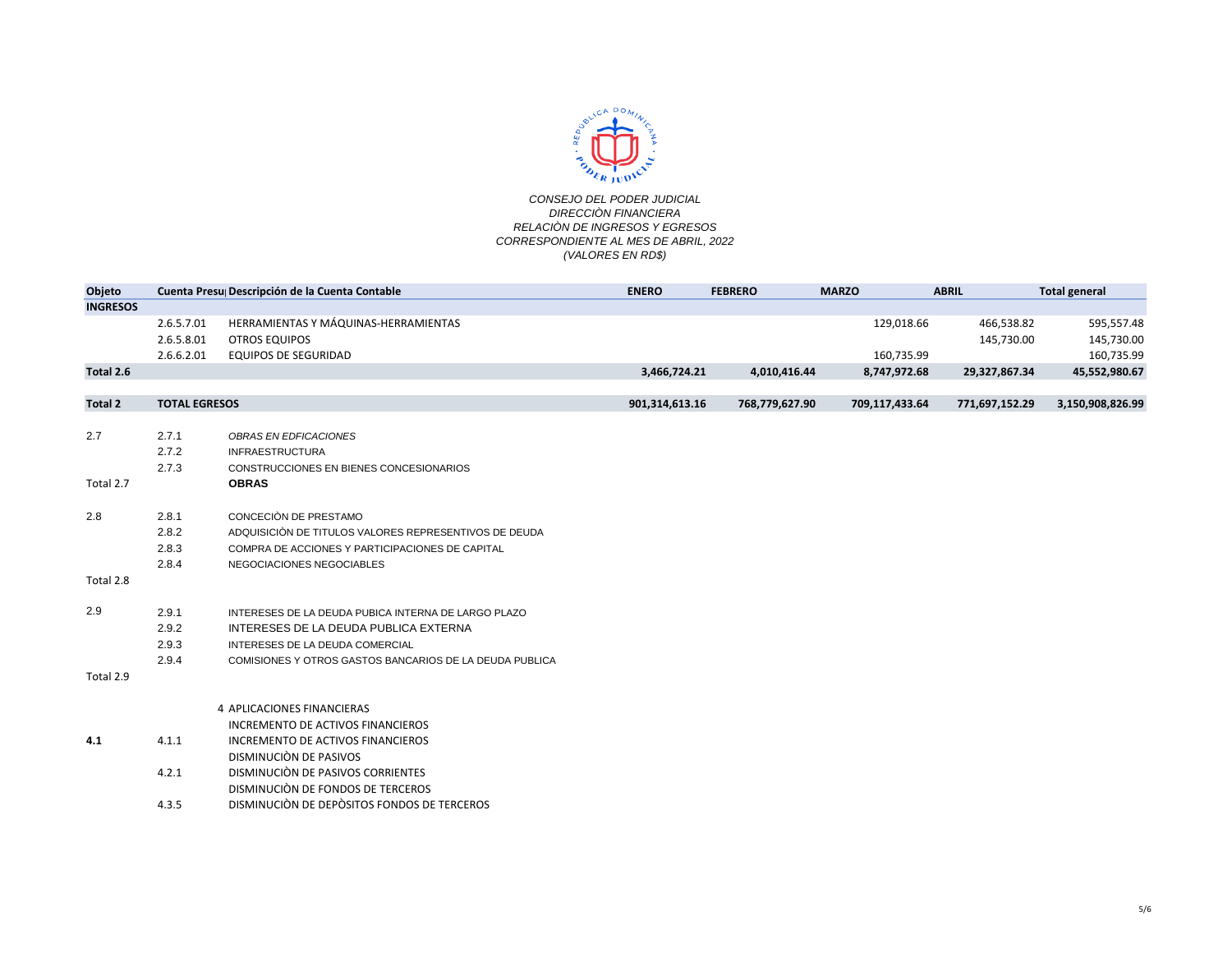

| Objeto          |                      | Cuenta Presu Descripción de la Cuenta Contable          | <b>ENERO</b>   | <b>FEBRERO</b> | <b>MARZO</b>   | <b>ABRIL</b>   | <b>Total general</b> |
|-----------------|----------------------|---------------------------------------------------------|----------------|----------------|----------------|----------------|----------------------|
| <b>INGRESOS</b> |                      |                                                         |                |                |                |                |                      |
|                 | 2.6.5.7.01           | HERRAMIENTAS Y MÁQUINAS-HERRAMIENTAS                    |                |                | 129,018.66     | 466,538.82     | 595,557.48           |
|                 | 2.6.5.8.01           | <b>OTROS EQUIPOS</b>                                    |                |                |                | 145,730.00     | 145,730.00           |
|                 | 2.6.6.2.01           | <b>EQUIPOS DE SEGURIDAD</b>                             |                |                | 160,735.99     |                | 160,735.99           |
| Total 2.6       |                      |                                                         | 3,466,724.21   | 4,010,416.44   | 8,747,972.68   | 29,327,867.34  | 45,552,980.67        |
|                 |                      |                                                         |                |                |                |                |                      |
| <b>Total 2</b>  | <b>TOTAL EGRESOS</b> |                                                         | 901,314,613.16 | 768,779,627.90 | 709,117,433.64 | 771,697,152.29 | 3,150,908,826.99     |
|                 |                      |                                                         |                |                |                |                |                      |
| 2.7             | 2.7.1                | OBRAS EN EDFICACIONES                                   |                |                |                |                |                      |
|                 | 2.7.2                | <b>INFRAESTRUCTURA</b>                                  |                |                |                |                |                      |
|                 | 2.7.3                | CONSTRUCCIONES EN BIENES CONCESIONARIOS                 |                |                |                |                |                      |
| Total 2.7       |                      | <b>OBRAS</b>                                            |                |                |                |                |                      |
|                 |                      |                                                         |                |                |                |                |                      |
| 2.8             | 2.8.1                | CONCECIÓN DE PRESTAMO                                   |                |                |                |                |                      |
|                 | 2.8.2                | ADQUISICIÓN DE TITULOS VALORES REPRESENTIVOS DE DEUDA   |                |                |                |                |                      |
|                 | 2.8.3                | COMPRA DE ACCIONES Y PARTICIPACIONES DE CAPITAL         |                |                |                |                |                      |
|                 | 2.8.4                | NEGOCIACIONES NEGOCIABLES                               |                |                |                |                |                      |
| Total 2.8       |                      |                                                         |                |                |                |                |                      |
| 2.9             | 2.9.1                | INTERESES DE LA DEUDA PUBICA INTERNA DE LARGO PLAZO     |                |                |                |                |                      |
|                 | 2.9.2                | INTERESES DE LA DEUDA PUBLICA EXTERNA                   |                |                |                |                |                      |
|                 | 2.9.3                | INTERESES DE LA DEUDA COMERCIAL                         |                |                |                |                |                      |
|                 | 2.9.4                | COMISIONES Y OTROS GASTOS BANCARIOS DE LA DEUDA PUBLICA |                |                |                |                |                      |
| Total 2.9       |                      |                                                         |                |                |                |                |                      |
|                 |                      |                                                         |                |                |                |                |                      |
|                 |                      | 4 APLICACIONES FINANCIERAS                              |                |                |                |                |                      |
|                 |                      | INCREMENTO DE ACTIVOS FINANCIEROS                       |                |                |                |                |                      |
| 4.1             | 4.1.1                | <b>INCREMENTO DE ACTIVOS FINANCIEROS</b>                |                |                |                |                |                      |
|                 |                      | DISMINUCIÓN DE PASIVOS                                  |                |                |                |                |                      |
|                 | 4.2.1                | DISMINUCIÓN DE PASIVOS CORRIENTES                       |                |                |                |                |                      |
|                 |                      | DISMINUCIÓN DE FONDOS DE TERCEROS                       |                |                |                |                |                      |
|                 | 4.3.5                | DISMINUCIÓN DE DEPÒSITOS FONDOS DE TERCEROS             |                |                |                |                |                      |